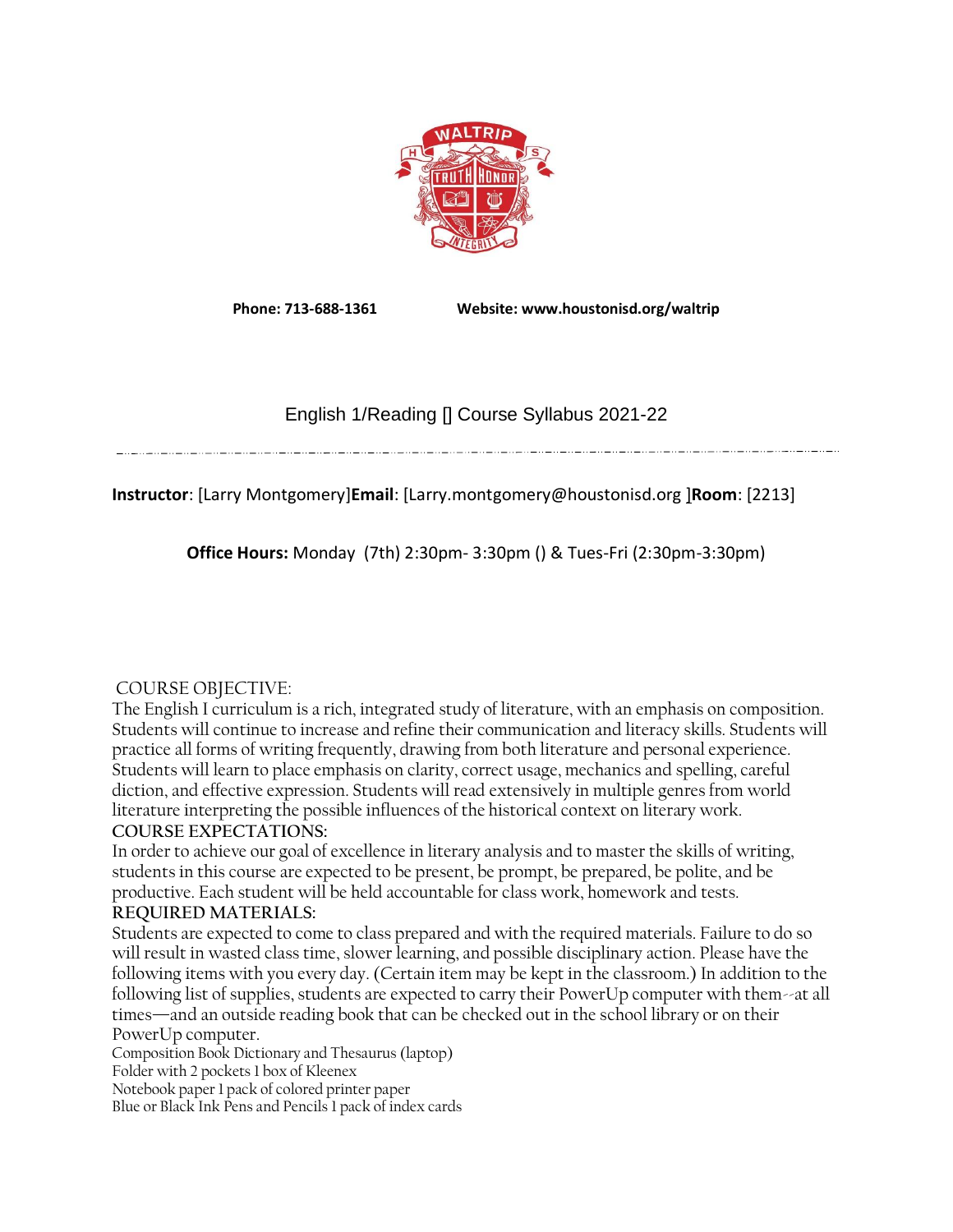

**Phone: 713-688-1361 Website: www.houstonisd.org/waltrip**

# English 1/Reading [] Course Syllabus 2021-22

## **Instructor**: [Larry Montgomery]**Email**: [Larry.montgomery@houstonisd.org ]**Room**: [2213]

**Office Hours:** Monday (7th) 2:30pm- 3:30pm () & Tues-Fri (2:30pm-3:30pm)

## COURSE OBJECTIVE:

The English I curriculum is a rich, integrated study of literature, with an emphasis on composition. Students will continue to increase and refine their communication and literacy skills. Students will practice all forms of writing frequently, drawing from both literature and personal experience. Students will learn to place emphasis on clarity, correct usage, mechanics and spelling, careful diction, and effective expression. Students will read extensively in multiple genres from world literature interpreting the possible influences of the historical context on literary work.

## **COURSE EXPECTATIONS:**

In order to achieve our goal of excellence in literary analysis and to master the skills of writing, students in this course are expected to be present, be prompt, be prepared, be polite, and be productive. Each student will be held accountable for class work, homework and tests. **REQUIRED MATERIALS:** 

Students are expected to come to class prepared and with the required materials. Failure to do so will result in wasted class time, slower learning, and possible disciplinary action. Please have the following items with you every day. (Certain item may be kept in the classroom.) In addition to the following list of supplies, students are expected to carry their PowerUp computer with them--at all times—and an outside reading book that can be checked out in the school library or on their PowerUp computer.

Composition Book Dictionary and Thesaurus (laptop) Folder with 2 pockets 1 box of Kleenex Notebook paper 1 pack of colored printer paper Blue or Black Ink Pens and Pencils 1 pack of index cards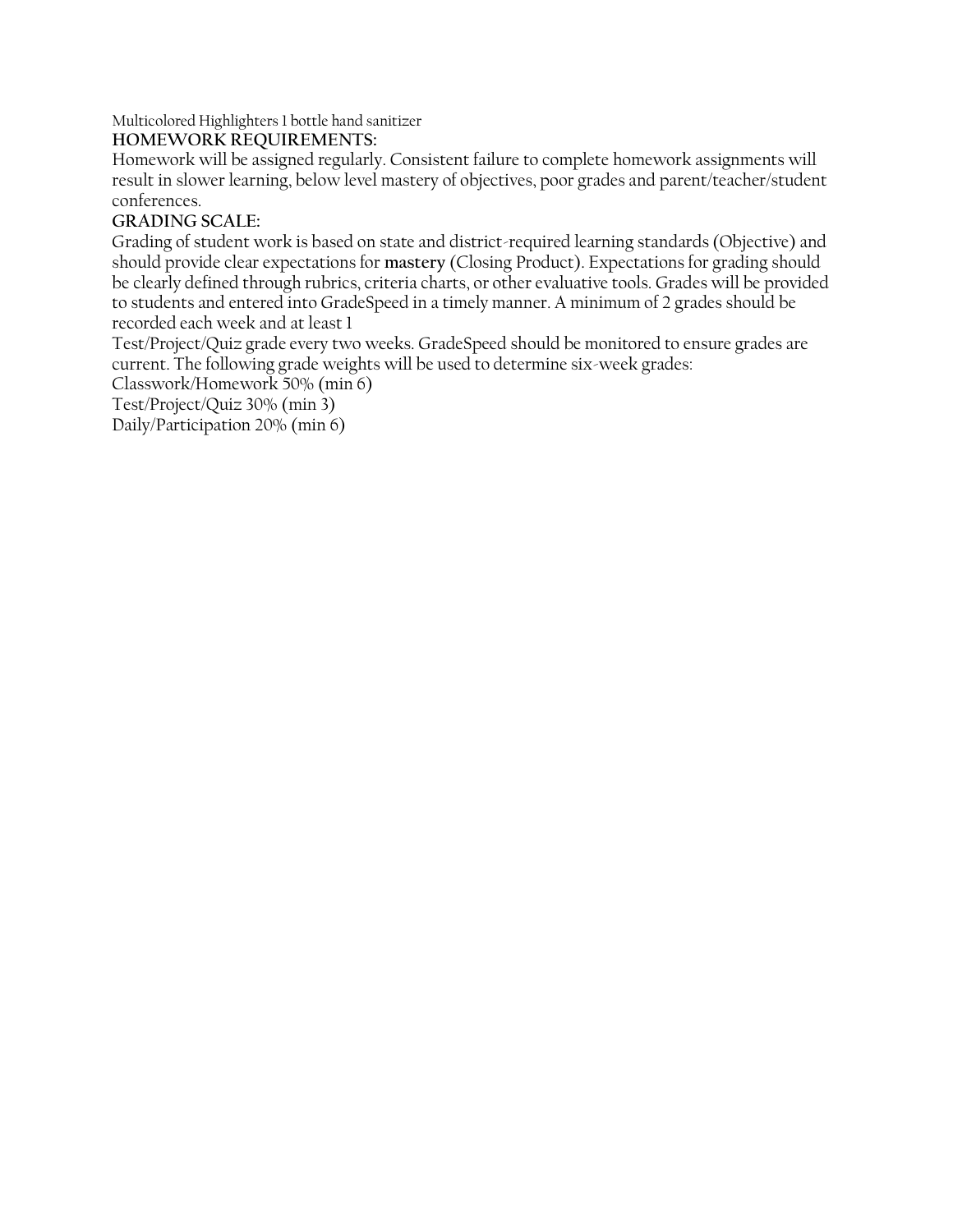Multicolored Highlighters 1 bottle hand sanitizer

#### **HOMEWORK REQUIREMENTS:**

Homework will be assigned regularly. Consistent failure to complete homework assignments will result in slower learning, below level mastery of objectives, poor grades and parent/teacher/student conferences.

#### **GRADING SCALE:**

Grading of student work is based on state and district-required learning standards (Objective) and should provide clear expectations for **mastery** (Closing Product). Expectations for grading should be clearly defined through rubrics, criteria charts, or other evaluative tools. Grades will be provided to students and entered into GradeSpeed in a timely manner. A minimum of 2 grades should be recorded each week and at least 1

Test/Project/Quiz grade every two weeks. GradeSpeed should be monitored to ensure grades are current. The following grade weights will be used to determine six-week grades:

Classwork/Homework 50% (min 6)

Test/Project/Quiz 30% (min 3)

Daily/Participation 20% (min 6)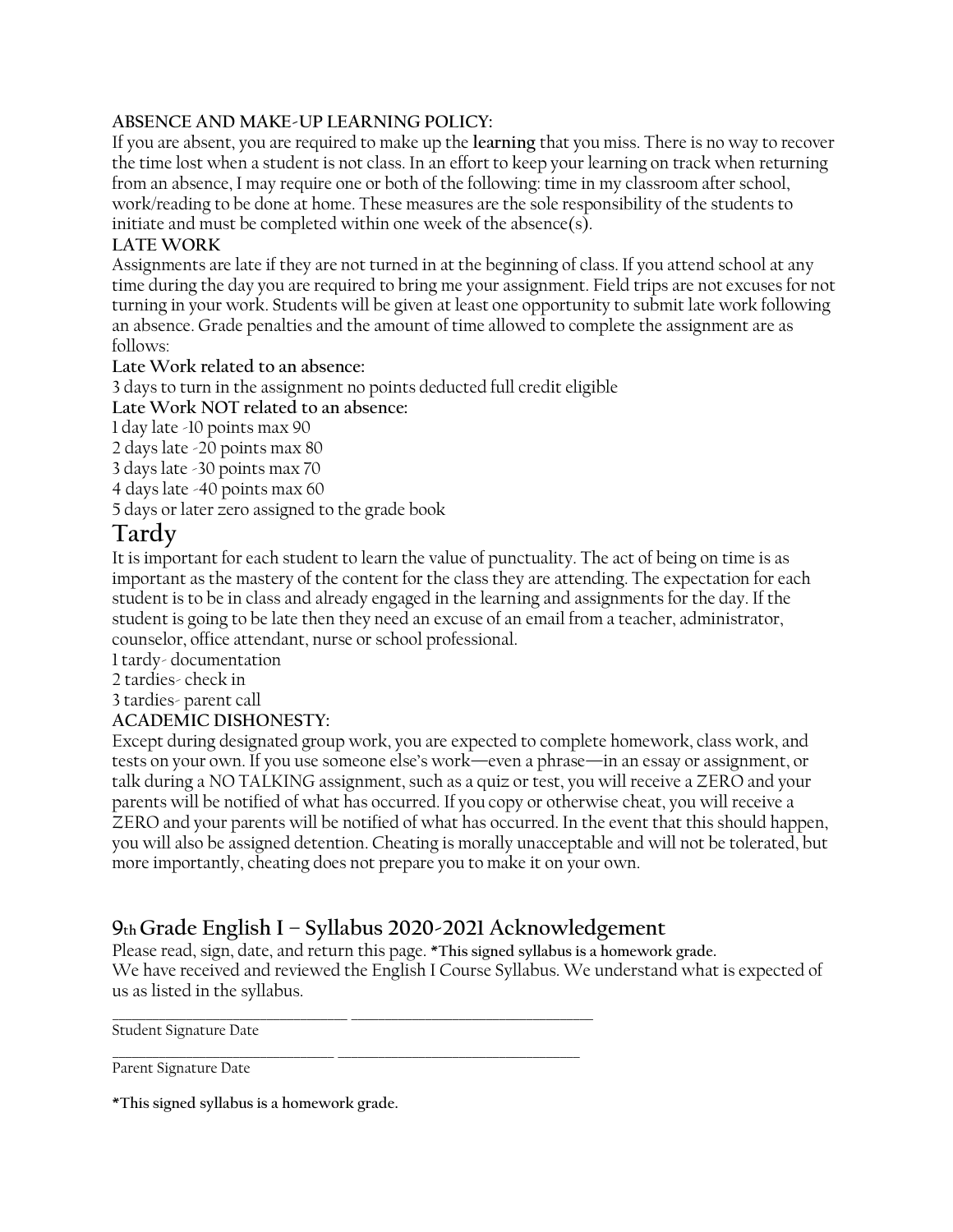### **ABSENCE AND MAKE-UP LEARNING POLICY:**

If you are absent, you are required to make up the **learning** that you miss. There is no way to recover the time lost when a student is not class. In an effort to keep your learning on track when returning from an absence, I may require one or both of the following: time in my classroom after school, work/reading to be done at home. These measures are the sole responsibility of the students to initiate and must be completed within one week of the absence(s).

#### **LATE WORK**

Assignments are late if they are not turned in at the beginning of class. If you attend school at any time during the day you are required to bring me your assignment. Field trips are not excuses for not turning in your work. Students will be given at least one opportunity to submit late work following an absence. Grade penalties and the amount of time allowed to complete the assignment are as follows:

**Late Work related to an absence:** 

3 days to turn in the assignment no points deducted full credit eligible

**Late Work NOT related to an absence:** 

1 day late -10 points max 90

2 days late -20 points max 80

3 days late -30 points max 70

4 days late -40 points max 60

5 days or later zero assigned to the grade book

# **Tardy**

It is important for each student to learn the value of punctuality. The act of being on time is as important as the mastery of the content for the class they are attending. The expectation for each student is to be in class and already engaged in the learning and assignments for the day. If the student is going to be late then they need an excuse of an email from a teacher, administrator, counselor, office attendant, nurse or school professional.

1 tardy- documentation

2 tardies- check in

3 tardies- parent call

#### **ACADEMIC DISHONESTY:**

Except during designated group work, you are expected to complete homework, class work, and tests on your own. If you use someone else's work—even a phrase—in an essay or assignment, or talk during a NO TALKING assignment, such as a quiz or test, you will receive a ZERO and your parents will be notified of what has occurred. If you copy or otherwise cheat, you will receive a ZERO and your parents will be notified of what has occurred. In the event that this should happen, you will also be assigned detention. Cheating is morally unacceptable and will not be tolerated, but more importantly, cheating does not prepare you to make it on your own.

# **<sup>9</sup>th Grade English I – Syllabus 2020-2021 Acknowledgement**

Please read, sign, date, and return this page. **\*This signed syllabus is a homework grade.**  We have received and reviewed the English I Course Syllabus. We understand what is expected of us as listed in the syllabus.

Student Signature Date

\_\_\_\_\_\_\_\_\_\_\_\_\_\_\_\_\_\_\_\_\_\_\_\_\_\_\_\_\_\_\_\_\_ \_\_\_\_\_\_\_\_\_\_\_\_\_\_\_\_\_\_\_\_\_\_\_\_\_\_\_\_\_\_\_\_\_\_\_\_ Parent Signature Date

**\*This signed syllabus is a homework grade.**